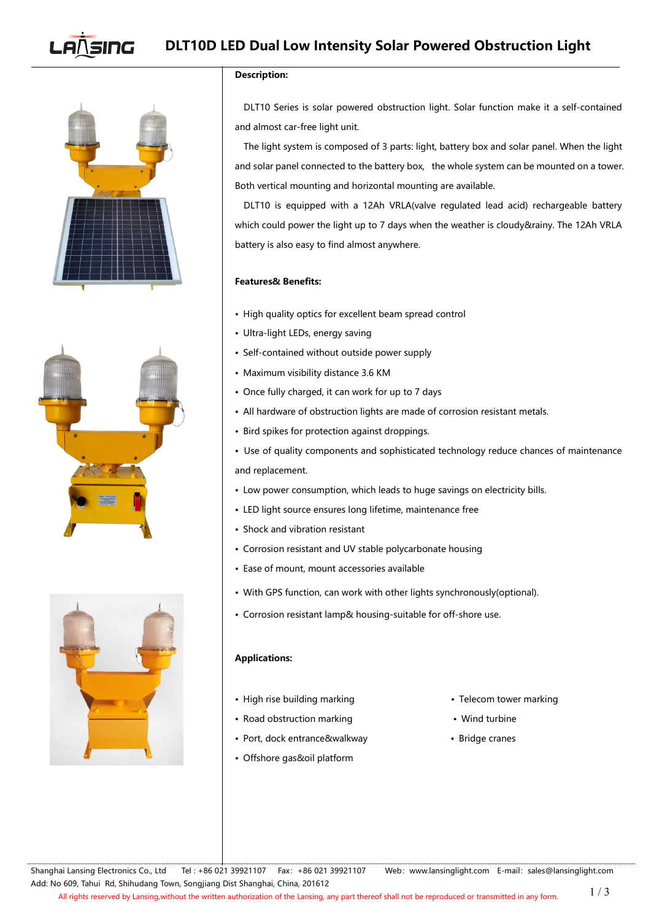# SING **DLT10D LED Dual Low Intensity Solar Powered Obstruction Light**







## **Description:**

DLT10 Series is solar powered obstruction light. Solar function make it a self-contained and almost car-free light unit.

The light system is composed of 3 parts: light, battery box and solar panel. When the light and solar panel connected to the battery box, the whole system can be mounted on a tower. Both vertical mounting and horizontal mounting are available.

DLT10 is equipped with a 12Ah VRLA(valve regulated lead acid) rechargeable battery which could power the light up to 7 days when the weather is cloudy&rainy. The 12Ah VRLA battery is also easy to find almost anywhere.

## **Features& Benefits:**

- High quality optics for excellent beam spread control
- Ultra-light LEDs, energy saving
- Self-contained without outside power supply
- Maximum visibility distance 3.6 KM
- Once fully charged, it can work for up to 7 days
- All hardware of obstruction lights are made of corrosion resistant metals.
- Bird spikes for protection against droppings.
- Use of quality components and sophisticated technology reduce chances of maintenance and replacement.
- Low power consumption, which leads to huge savings on electricity bills.
- LED light source ensures long lifetime, maintenance free
- Shock and vibration resistant
- Corrosion resistant and UV stable polycarbonate housing
- Ease of mount, mount accessories available
- With GPS function, can work with other lights synchronously(optional).
- Corrosion resistant lamp& housing-suitable for off-shore use.

## **Applications:**

- High rise building marking **•** Telecom tower marking
- Road obstruction marking values are valued by Wind turbine
- Port, dock entrance&walkway Port, dock entrance&walkway
- Offshore gas&oil platform
- 
- 
-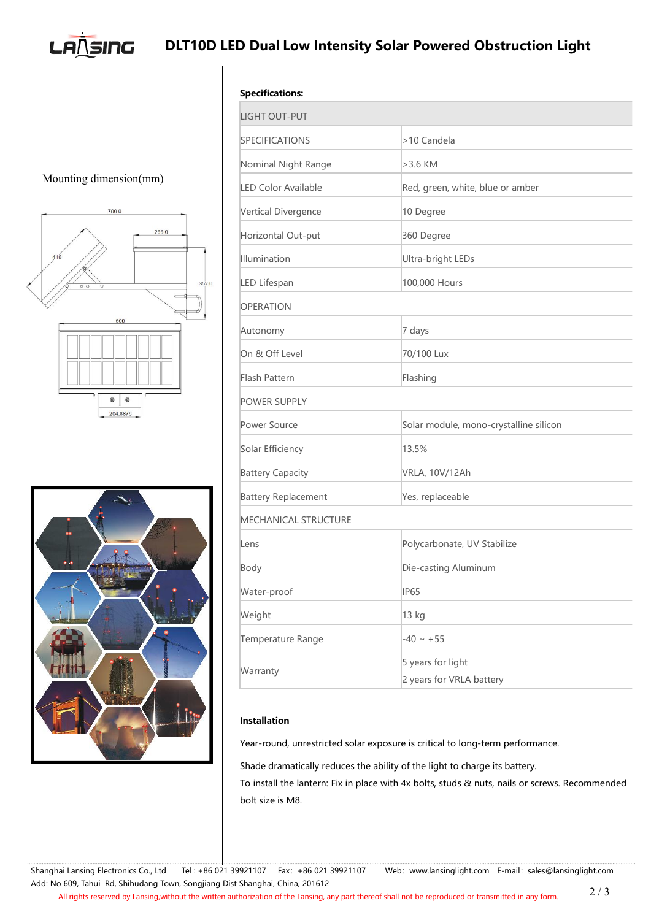**DLT10D LED Dual Low Intensity SolarPowered Obstruction Light**

Mounting dimension(mm)

**LANSING** 





| <b>Specifications:</b><br><b>LIGHT OUT-PUT</b> |                                               |
|------------------------------------------------|-----------------------------------------------|
|                                                |                                               |
| Nominal Night Range                            | $>3.6$ KM                                     |
| LED Color Available                            | Red, green, white, blue or amber              |
| Vertical Divergence                            | 10 Degree                                     |
| Horizontal Out-put                             | 360 Degree                                    |
| Illumination                                   | Ultra-bright LEDs                             |
| LED Lifespan                                   | 100,000 Hours                                 |
| <b>OPERATION</b>                               |                                               |
| Autonomy                                       | 7 days                                        |
| On & Off Level                                 | 70/100 Lux                                    |
| Flash Pattern                                  | Flashing                                      |
| <b>POWER SUPPLY</b>                            |                                               |
| Power Source                                   | Solar module, mono-crystalline silicon        |
| Solar Efficiency                               | 13.5%                                         |
| <b>Battery Capacity</b>                        | VRLA, 10V/12Ah                                |
| <b>Battery Replacement</b>                     | Yes, replaceable                              |
| MECHANICAL STRUCTURE                           |                                               |
| Lens                                           | Polycarbonate, UV Stabilize                   |
| Body                                           | Die-casting Aluminum                          |
| Water-proof                                    | <b>IP65</b>                                   |
| Weight                                         | 13 kg                                         |
| Temperature Range                              | $-40 \sim +55$                                |
| Warranty                                       | 5 years for light<br>2 years for VRLA battery |

# **Installation**

Year-round, unrestricted solar exposure is critical to long-term performance.

Shade dramatically reduces the ability of the light to charge its battery. To install the lantern: Fix in place with 4x bolts, studs & nuts, nails or screws. Recommended bolt size is M8.

Shanghai Lansing Electronics Co., Ltd Tel : +86 021 39921107 Fax: +86 021 39921107 Web: [www.lansinglight.com](http://www.nanhua.com) E-mail: [sales@lansinglight.com](mailto:sales@nanhua.com) Add: No 609, Tahui Rd, Shihudang Town, Songjiang Dist Shanghai, China, 201612 All rights reserved by Lansing,without the written authorization of the Lansing, any part thereof shall not be reproduced or transmitted in any form. 2 / 3